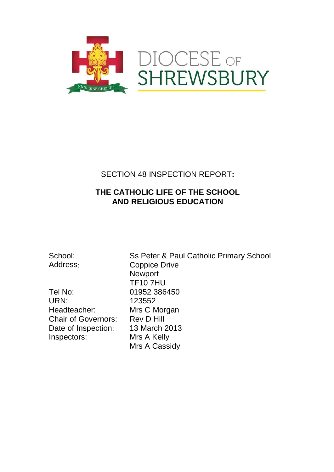

## SECTION 48 INSPECTION REPORT**:**

## **THE CATHOLIC LIFE OF THE SCHOOL AND RELIGIOUS EDUCATION**

Tel No: 01952 386450 URN: 123552 Headteacher: Mrs C Morgan<br>Chair of Governors: Rev D Hill Chair of Governors: Date of Inspection: 13 March 2013<br>Inspectors: Mrs A Kelly Inspectors:

School: Ss Peter & Paul Catholic Primary School Address: Coppice Drive Newport TF10 7HU Mrs A Cassidy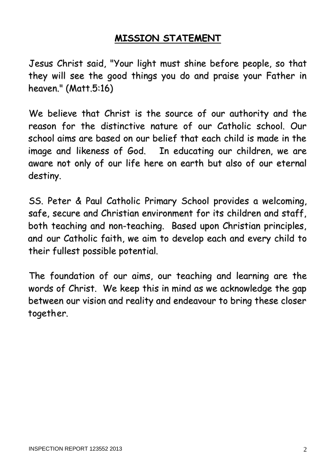# **MISSION STATEMENT**

Jesus Christ said, "Your light must shine before people, so that they will see the good things you do and praise your Father in heaven." (Matt.5:16)

We believe that Christ is the source of our authority and the reason for the distinctive nature of our Catholic school. Our school aims are based on our belief that each child is made in the image and likeness of God. In educating our children, we are aware not only of our life here on earth but also of our eternal destiny.

SS. Peter & Paul Catholic Primary School provides a welcoming, safe, secure and Christian environment for its children and staff, both teaching and non-teaching. Based upon Christian principles, and our Catholic faith, we aim to develop each and every child to their fullest possible potential.

The foundation of our aims, our teaching and learning are the words of Christ. We keep this in mind as we acknowledge the gap between our vision and reality and endeavour to bring these closer together.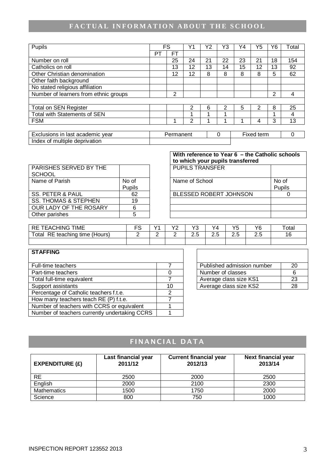# **FACTUAL INFORMATION ABOUT THE SCHOOL**

| Pupils                                |    | FS        | Υ1             | Υ2 | Y3       | Y4 | Y5         | Υ6 | Total    |
|---------------------------------------|----|-----------|----------------|----|----------|----|------------|----|----------|
|                                       | P٦ | <b>FT</b> |                |    |          |    |            |    |          |
| Number on roll                        |    | 25        | 24             | 21 | 22       | 23 | 21         | 18 | 154      |
| Catholics on roll                     |    | 13        | 12             | 13 | 14       | 15 | 12         | 13 | 92       |
| Other Christian denomination          |    | 12        | 12             | 8  | 8        | 8  | 8          | 5  | 62       |
| Other faith background                |    |           |                |    |          |    |            |    |          |
| No stated religious affiliation       |    |           |                |    |          |    |            |    |          |
| Number of learners from ethnic groups |    | 2         |                |    |          |    |            | 2  | 4        |
|                                       |    |           |                |    |          |    |            |    |          |
| <b>Total on SEN Register</b>          |    |           | $\overline{2}$ | 6  | 2        | 5  | 2          | 8  | 25       |
| <b>Total with Statements of SEN</b>   |    |           | 1              |    |          |    |            |    | 4        |
| <b>FSM</b>                            |    |           | 2              |    |          |    | 4          | 3  | 13       |
|                                       |    |           |                |    |          |    |            |    |          |
| Exclusions in last academic year      |    | Permanent |                |    | $\Omega$ |    | Fixed term |    | $\Omega$ |
| Index of multiple deprivation         |    |           |                |    |          |    |            |    |          |

| PARISHES SERVED BY THE          |        |
|---------------------------------|--------|
| <b>SCHOOL</b>                   |        |
| Name of Parish                  | No of  |
|                                 | Pupils |
| <b>SS. PETER &amp; PAUL</b>     | 62     |
| <b>SS. THOMAS &amp; STEPHEN</b> | 19     |
| OUR LADY OF THE ROSARY          | 6      |
| Other parishes                  | 5      |

|                                  |                 | With reference to Year 6 - the Catholic schools<br>to which your pupils transferred |                 |  |  |
|----------------------------------|-----------------|-------------------------------------------------------------------------------------|-----------------|--|--|
| PARISHES SERVED BY THE<br>SCHOOL |                 | <b>PUPILS TRANSFER</b>                                                              |                 |  |  |
| Name of Parish                   | No of<br>Pupils | Name of School                                                                      | No of<br>Pupils |  |  |
| <b>SS. PETER &amp; PAUL</b>      | 62              | BLESSED ROBERT JOHNSON                                                              |                 |  |  |
| <b>SS. THOMAS &amp; STEPHEN</b>  | 19              |                                                                                     |                 |  |  |
| OUR LADY OF THE ROSARY           | 6               |                                                                                     |                 |  |  |
| Other parishes                   |                 |                                                                                     |                 |  |  |

| <b>TIME</b><br>IING<br>- OF<br>EA0<br>╲∟<br>ושו | $\sqrt{2}$ | $\overline{\phantom{a}}$<br>- | $\sqrt{2}$    | $\sqrt{4}$    | $\epsilon$<br>J | VR<br>v | $\tau$ otar    |
|-------------------------------------------------|------------|-------------------------------|---------------|---------------|-----------------|---------|----------------|
| RE.<br>Total<br>teaching<br>time (Hours)        |            | -                             | $\sim$<br>د.ء | -<br>~<br>ے . | --<br>ں ے       | د.ء     | 10<br><b>U</b> |
|                                                 |            |                               |               |               |                 |         |                |

 $\overline{1}$ 

| <b>STAFFING</b>                               |    |                            |    |
|-----------------------------------------------|----|----------------------------|----|
| Full-time teachers                            |    | Published admission number | 20 |
| Part-time teachers                            |    | Number of classes          | 6  |
| Total full-time equivalent                    |    | Average class size KS1     | 23 |
| Support assistants                            | 10 | Average class size KS2     | 28 |
| Percentage of Catholic teachers f.t.e.        |    |                            |    |
| How many teachers teach RE (P) f.t.e.         |    |                            |    |
| Number of teachers with CCRS or equivalent    |    |                            |    |
| Number of teachers currently undertaking CCRS |    |                            |    |

| Published admission number | 20 |
|----------------------------|----|
| Number of classes          |    |
| Average class size KS1     | 23 |
| Average class size KS2     |    |

# FINANCIAL DATA

| <b>EXPENDITURE (£)</b> | Last financial year<br>2011/12 | <b>Current financial year</b><br>2012/13 | <b>Next financial year</b><br>2013/14 |
|------------------------|--------------------------------|------------------------------------------|---------------------------------------|
| RE                     | 2500                           | 2000                                     | 2500                                  |
| English                | 2000                           | 2100                                     | 2300                                  |
| <b>Mathematics</b>     | 1500                           | 1750                                     | 2000                                  |
| Science                | 800                            | 750                                      | 1000                                  |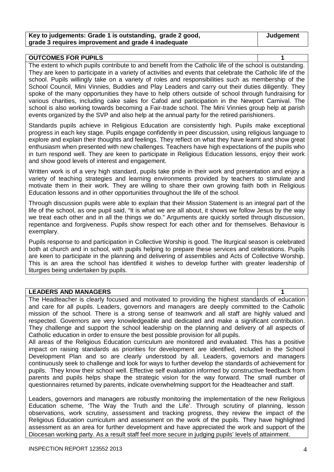| Key to judgements: Grade 1 is outstanding, grade 2 good, |  |
|----------------------------------------------------------|--|
| grade 3 requires improvement and grade 4 inadequate      |  |

## **OUTCOMES FOR PUPILS 1**

The extent to which pupils contribute to and benefit from the Catholic life of the school is outstanding. They are keen to participate in a variety of activities and events that celebrate the Catholic life of the school. Pupils willingly take on a variety of roles and responsibilities such as membership of the School Council, Mini Vinnies, Buddies and Play Leaders and carry out their duties diligently. They spoke of the many opportunities they have to help others outside of school through fundraising for various charities, including cake sales for Cafod and participation in the Newport Carnival. The school is also working towards becoming a Fair-trade school. The Mini Vinnies group help at parish events organized by the SVP and also help at the annual party for the retired parishioners.

Standards pupils achieve in Religious Education are consistently high. Pupils make exceptional progress in each key stage. Pupils engage confidently in peer discussion, using religious language to explore and explain their thoughts and feelings. They reflect on what they have learnt and show great enthusiasm when presented with new challenges. Teachers have high expectations of the pupils who in turn respond well. They are keen to participate in Religious Education lessons, enjoy their work and show good levels of interest and engagement.

Written work is of a very high standard, pupils take pride in their work and presentation and enjoy a variety of teaching strategies and learning environments provided by teachers to stimulate and motivate them in their work. They are willing to share their own growing faith both in Religious Education lessons and in other opportunities throughout the life of the school.

Through discussion pupils were able to explain that their Mission Statement is an integral part of the life of the school, as one pupil said, "It is what we are all about, it shows we follow Jesus by the way we treat each other and in all the things we do." Arguments are quickly sorted through discussion, repentance and forgiveness. Pupils show respect for each other and for themselves. Behaviour is exemplary.

Pupils response to and participation in Collective Worship is good. The liturgical season is celebrated both at church and in school, with pupils helping to prepare these services and celebrations. Pupils are keen to participate in the planning and delivering of assemblies and Acts of Collective Worship. This is an area the school has identified it wishes to develop further with greater leadership of liturgies being undertaken by pupils.

## **LEADERS AND MANAGERS**

The Headteacher is clearly focused and motivated to providing the highest standards of education and care for all pupils. Leaders, governors and managers are deeply committed to the Catholic mission of the school. There is a strong sense of teamwork and all staff are highly valued and respected. Governors are very knowledgeable and dedicated and make a significant contribution. They challenge and support the school leadership on the planning and delivery of all aspects of Catholic education in order to ensure the best possible provision for all pupils.

All areas of the Religious Education curriculum are monitored and evaluated. This has a positive impact on raising standards as priorities for development are identified, included in the School Development Plan and so are clearly understood by all. Leaders, governors and managers continuously seek to challenge and look for ways to further develop the standards of achievement for pupils. They know their school well. Effective self evaluation informed by constructive feedback from parents and pupils helps shape the strategic vision for the way forward. The small number of questionnaires returned by parents, indicate overwhelming support for the Headteacher and staff.

Leaders, governors and managers are robustly monitoring the implementation of the new Religious Education scheme, 'The Way the Truth and the Life'. Through scrutiny of planning, lesson observations, work scrutiny, assessment and tracking progress, they review the impact of the Religious Education curriculum and assessment on the work of the pupils. They have highlighted assessment as an area for further development and have appreciated the work and support of the Diocesan working party. As a result staff feel more secure in judging pupils' levels of attainment.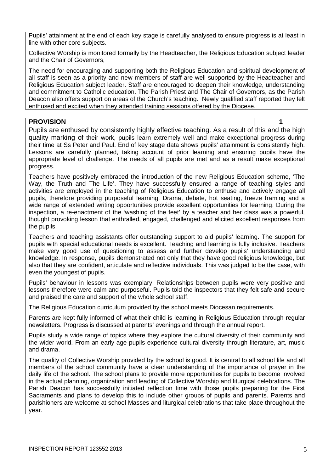Pupils' attainment at the end of each key stage is carefully analysed to ensure progress is at least in line with other core subjects.

Collective Worship is monitored formally by the Headteacher, the Religious Education subject leader and the Chair of Governors,

The need for encouraging and supporting both the Religious Education and spiritual development of all staff is seen as a priority and new members of staff are well supported by the Headteacher and Religious Education subject leader. Staff are encouraged to deepen their knowledge, understanding and commitment to Catholic education. The Parish Priest and The Chair of Governors, as the Parish Deacon also offers support on areas of the Church's teaching. Newly qualified staff reported they felt enthused and excited when they attended training sessions offered by the Diocese.

**PROVISION 1** Pupils are enthused by consistently highly effective teaching. As a result of this and the high quality marking of their work, pupils learn extremely well and make exceptional progress during their time at Ss Peter and Paul. End of key stage data shows pupils' attainment is consistently high. Lessons are carefully planned, taking account of prior learning and ensuring pupils have the appropriate level of challenge. The needs of all pupils are met and as a result make exceptional progress.

Teachers have positively embraced the introduction of the new Religious Education scheme, 'The Way, the Truth and The Life'. They have successfully ensured a range of teaching styles and activities are employed in the teaching of Religious Education to enthuse and actively engage all pupils, therefore providing purposeful learning. Drama, debate, hot seating, freeze framing and a wide range of extended writing opportunities provide excellent opportunities for learning. During the inspection, a re-enactment of the 'washing of the feet' by a teacher and her class was a powerful, thought provoking lesson that enthralled, engaged, challenged and elicited excellent responses from the pupils,

Teachers and teaching assistants offer outstanding support to aid pupils' learning. The support for pupils with special educational needs is excellent. Teaching and learning is fully inclusive. Teachers make very good use of questioning to assess and further develop pupils' understanding and knowledge. In response, pupils demonstrated not only that they have good religious knowledge, but also that they are confident, articulate and reflective individuals. This was judged to be the case, with even the youngest of pupils.

Pupils' behaviour in lessons was exemplary. Relationships between pupils were very positive and lessons therefore were calm and purposeful. Pupils told the inspectors that they felt safe and secure and praised the care and support of the whole school staff.

The Religious Education curriculum provided by the school meets Diocesan requirements.

Parents are kept fully informed of what their child is learning in Religious Education through regular newsletters. Progress is discussed at parents' evenings and through the annual report.

Pupils study a wide range of topics where they explore the cultural diversity of their community and the wider world. From an early age pupils experience cultural diversity through literature, art, music and drama.

The quality of Collective Worship provided by the school is good. It is central to all school life and all members of the school community have a clear understanding of the importance of prayer in the daily life of the school. The school plans to provide more opportunities for pupils to become involved in the actual planning, organization and leading of Collective Worship and liturgical celebrations. The Parish Deacon has successfully initiated reflection time with those pupils preparing for the First Sacraments and plans to develop this to include other groups of pupils and parents. Parents and parishioners are welcome at school Masses and liturgical celebrations that take place throughout the year.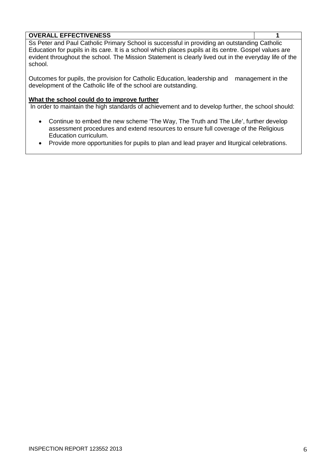## **OVERALL EFFECTIVENESS 1**

Ss Peter and Paul Catholic Primary School is successful in providing an outstanding Catholic Education for pupils in its care. It is a school which places pupils at its centre. Gospel values are evident throughout the school. The Mission Statement is clearly lived out in the everyday life of the school.

Outcomes for pupils, the provision for Catholic Education, leadership and management in the development of the Catholic life of the school are outstanding.

### **What the school could do to improve further**

In order to maintain the high standards of achievement and to develop further, the school should:

- Continue to embed the new scheme 'The Way, The Truth and The Life', further develop assessment procedures and extend resources to ensure full coverage of the Religious Education curriculum.
- Provide more opportunities for pupils to plan and lead prayer and liturgical celebrations.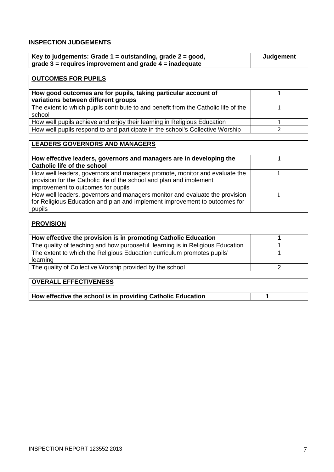## **INSPECTION JUDGEMENTS**

| Key to judgements: Grade $1 =$ outstanding, grade $2 =$ good, | Judgement |
|---------------------------------------------------------------|-----------|
| grade $3$ = requires improvement and grade $4$ = inadequate   |           |

| <b>OUTCOMES FOR PUPILS</b>                                                                            |  |
|-------------------------------------------------------------------------------------------------------|--|
| How good outcomes are for pupils, taking particular account of<br>variations between different groups |  |
| The extent to which pupils contribute to and benefit from the Catholic life of the<br>school          |  |
| How well pupils achieve and enjoy their learning in Religious Education                               |  |
| How well pupils respond to and participate in the school's Collective Worship                         |  |

| <b>LEADERS GOVERNORS AND MANAGERS</b>                                                                                                                                                    |  |
|------------------------------------------------------------------------------------------------------------------------------------------------------------------------------------------|--|
| How effective leaders, governors and managers are in developing the<br><b>Catholic life of the school</b>                                                                                |  |
| How well leaders, governors and managers promote, monitor and evaluate the<br>provision for the Catholic life of the school and plan and implement<br>improvement to outcomes for pupils |  |
| How well leaders, governors and managers monitor and evaluate the provision<br>for Religious Education and plan and implement improvement to outcomes for<br>pupils                      |  |

| <b>PROVISION</b>                                                              |  |
|-------------------------------------------------------------------------------|--|
| How effective the provision is in promoting Catholic Education                |  |
| The quality of teaching and how purposeful learning is in Religious Education |  |
| The extent to which the Religious Education curriculum promotes pupils'       |  |
| learning                                                                      |  |
| The quality of Collective Worship provided by the school                      |  |
|                                                                               |  |

| OVERALL EFFECTIVENESS                                       |  |
|-------------------------------------------------------------|--|
| How effective the school is in providing Catholic Education |  |